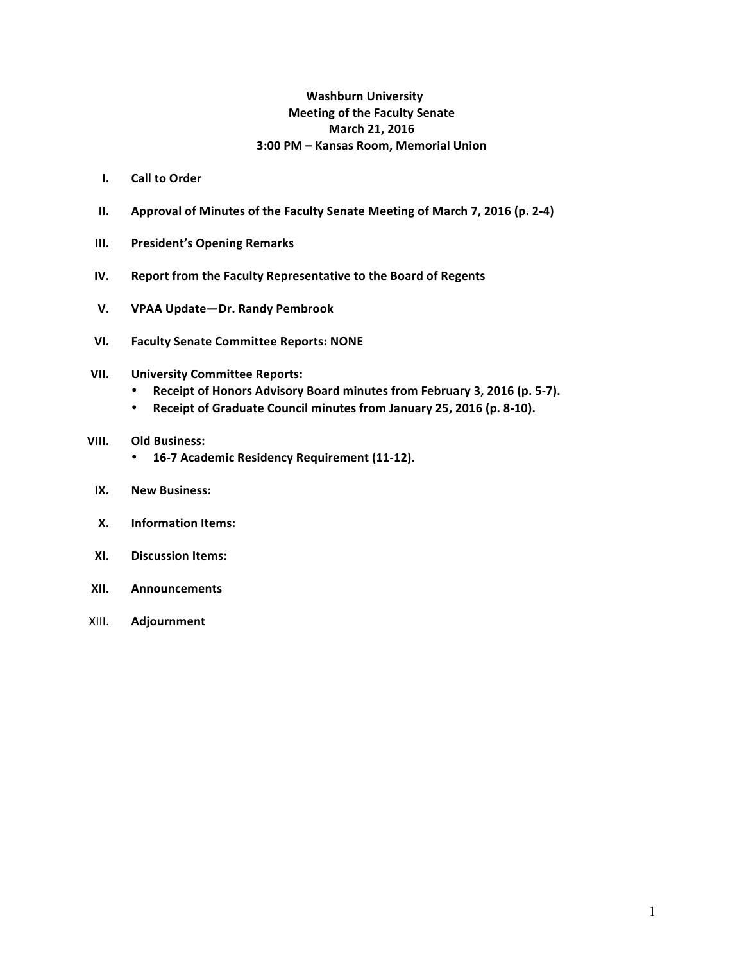## **Washburn University Meeting of the Faculty Senate March 21, 2016 3:00 PM – Kansas Room, Memorial Union**

- **I. Call to Order**
- **II.** Approval of Minutes of the Faculty Senate Meeting of March 7, 2016 (p. 2-4)
- **III.** President's Opening Remarks
- **IV.** Report from the Faculty Representative to the Board of Regents
- **V. VPAA Update—Dr. Randy Pembrook**
- **VI. Faculty Senate Committee Reports: NONE**

### **VII. University Committee Reports:**

- Receipt of Honors Advisory Board minutes from February 3, 2016 (p. 5-7).
- Receipt of Graduate Council minutes from January 25, 2016 (p. 8-10).

### **VIII. Old Business:**

- **16-7 Academic Residency Requirement (11-12).**
- **IX. New Business:**
- **X.** Information Items:
- **XI. Discussion Items:**
- **XII. Announcements**
- XIII. **Adjournment**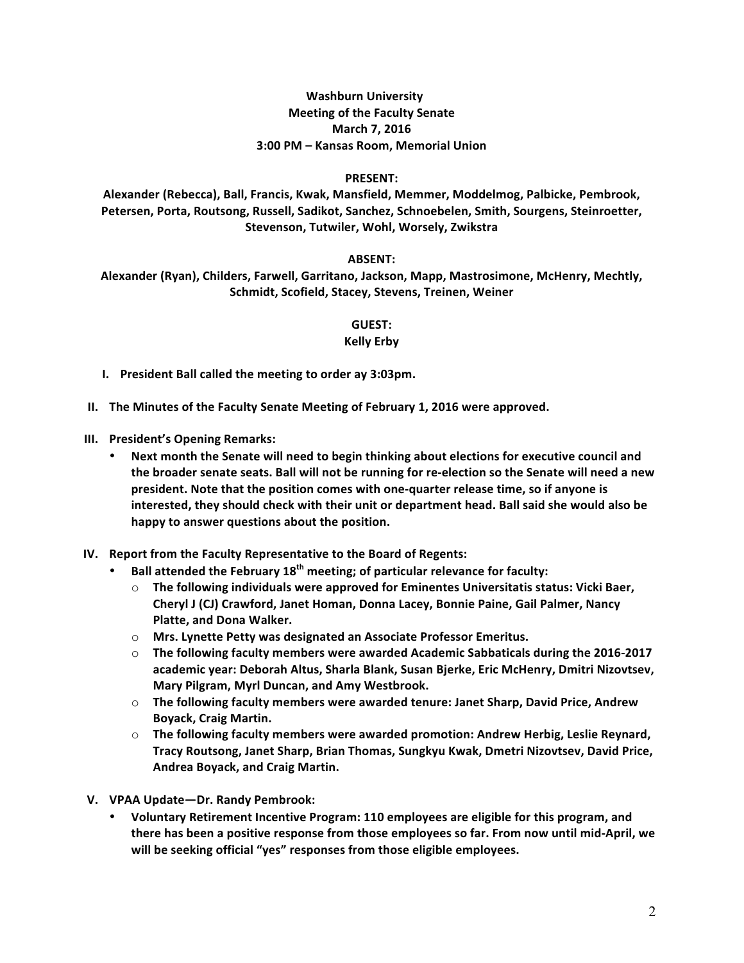## **Washburn University Meeting of the Faculty Senate March 7, 2016 3:00 PM – Kansas Room, Memorial Union**

### **PRESENT:**

Alexander (Rebecca), Ball, Francis, Kwak, Mansfield, Memmer, Moddelmog, Palbicke, Pembrook, Petersen, Porta, Routsong, Russell, Sadikot, Sanchez, Schnoebelen, Smith, Sourgens, Steinroetter, **Stevenson, Tutwiler, Wohl, Worsely, Zwikstra**

### **ABSENT:**

Alexander (Ryan), Childers, Farwell, Garritano, Jackson, Mapp, Mastrosimone, McHenry, Mechtly, Schmidt, Scofield, Stacey, Stevens, Treinen, Weiner

### **GUEST:**

### **Kelly Erby**

- **I.** President Ball called the meeting to order ay 3:03pm.
- **II.** The Minutes of the Faculty Senate Meeting of February 1, 2016 were approved.
- **III.** President's Opening Remarks:
	- Next month the Senate will need to begin thinking about elections for executive council and the broader senate seats. Ball will not be running for re-election so the Senate will need a new president. Note that the position comes with one-quarter release time, so if anyone is interested, they should check with their unit or department head. Ball said she would also be happy to answer questions about the position.
- **IV.** Report from the Faculty Representative to the Board of Regents:
	- Ball attended the February 18<sup>th</sup> meeting; of particular relevance for faculty:
		- $\circ$  The following individuals were approved for Eminentes Universitatis status: Vicki Baer, **Cheryl J (CJ) Crawford, Janet Homan, Donna Lacey, Bonnie Paine, Gail Palmer, Nancy Platte, and Dona Walker.**
		- o Mrs. Lynette Petty was designated an Associate Professor Emeritus.
		- $\circ$  The following faculty members were awarded Academic Sabbaticals during the 2016-2017 academic year: Deborah Altus, Sharla Blank, Susan Bjerke, Eric McHenry, Dmitri Nizovtsev, Mary Pilgram, Myrl Duncan, and Amy Westbrook.
		- $\circ$  The following faculty members were awarded tenure: Janet Sharp, David Price, Andrew **Boyack, Craig Martin.**
		- $\circ$  The following faculty members were awarded promotion: Andrew Herbig, Leslie Reynard, Tracy Routsong, Janet Sharp, Brian Thomas, Sungkyu Kwak, Dmetri Nizovtsev, David Price, **Andrea Boyack, and Craig Martin.**
- **V. VPAA Update—Dr. Randy Pembrook:**
	- Voluntary Retirement Incentive Program: 110 employees are eligible for this program, and there has been a positive response from those employees so far. From now until mid-April, we will be seeking official "yes" responses from those eligible employees.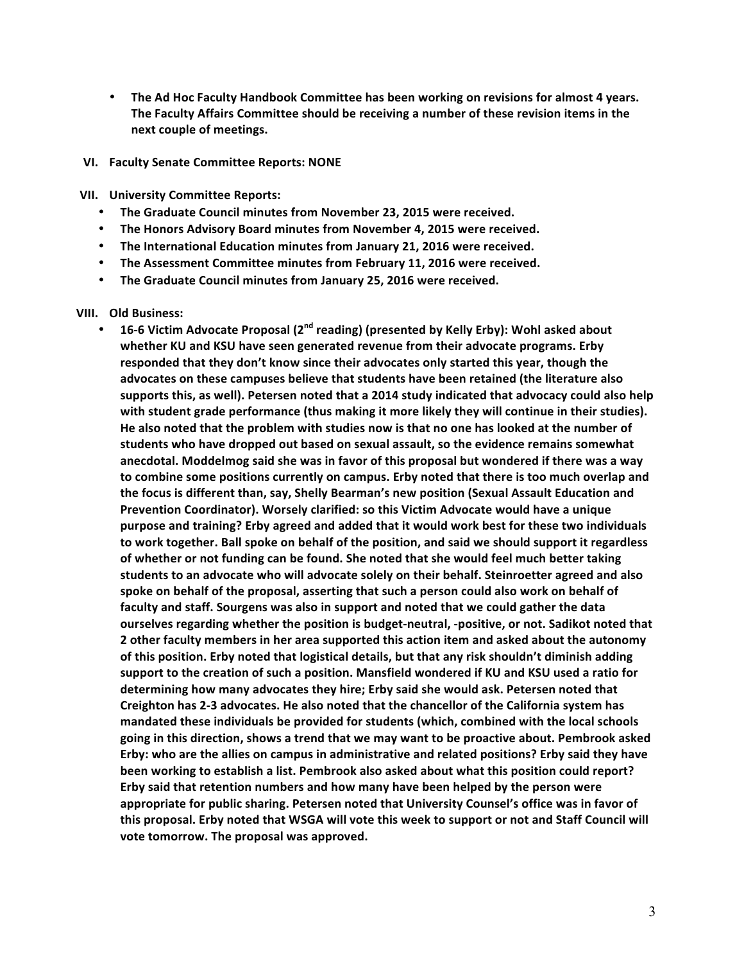• The Ad Hoc Faculty Handbook Committee has been working on revisions for almost 4 years. The Faculty Affairs Committee should be receiving a number of these revision items in the **next couple of meetings.** 

#### **VI. Faculty Senate Committee Reports: NONE**

**VII. University Committee Reports:**

- **The Graduate Council minutes from November 23, 2015 were received.**
- The Honors Advisory Board minutes from November 4, 2015 were received.
- The International Education minutes from January 21, 2016 were received.
- The Assessment Committee minutes from February 11, 2016 were received.
- The Graduate Council minutes from January 25, 2016 were received.

#### **VIII.** Old Business:

• 16-6 Victim Advocate Proposal (2<sup>nd</sup> reading) (presented by Kelly Erby): Wohl asked about whether KU and KSU have seen generated revenue from their advocate programs. Erby responded that they don't know since their advocates only started this year, though the advocates on these campuses believe that students have been retained (the literature also supports this, as well). Petersen noted that a 2014 study indicated that advocacy could also help with student grade performance (thus making it more likely they will continue in their studies). He also noted that the problem with studies now is that no one has looked at the number of students who have dropped out based on sexual assault, so the evidence remains somewhat anecdotal. Moddelmog said she was in favor of this proposal but wondered if there was a way to combine some positions currently on campus. Erby noted that there is too much overlap and the focus is different than, say, Shelly Bearman's new position (Sexual Assault Education and **Prevention Coordinator). Worsely clarified: so this Victim Advocate would have a unique** purpose and training? Erby agreed and added that it would work best for these two individuals to work together. Ball spoke on behalf of the position, and said we should support it regardless of whether or not funding can be found. She noted that she would feel much better taking students to an advocate who will advocate solely on their behalf. Steinroetter agreed and also spoke on behalf of the proposal, asserting that such a person could also work on behalf of faculty and staff. Sourgens was also in support and noted that we could gather the data ourselves regarding whether the position is budget-neutral, -positive, or not. Sadikot noted that **2** other faculty members in her area supported this action item and asked about the autonomy of this position. Erby noted that logistical details, but that any risk shouldn't diminish adding support to the creation of such a position. Mansfield wondered if KU and KSU used a ratio for determining how many advocates they hire; Erby said she would ask. Petersen noted that Creighton has 2-3 advocates. He also noted that the chancellor of the California system has mandated these individuals be provided for students (which, combined with the local schools going in this direction, shows a trend that we may want to be proactive about. Pembrook asked Erby: who are the allies on campus in administrative and related positions? Erby said they have been working to establish a list. Pembrook also asked about what this position could report? **Erby said that retention numbers and how many have been helped by the person were** appropriate for public sharing. Petersen noted that University Counsel's office was in favor of this proposal. Erby noted that WSGA will vote this week to support or not and Staff Council will vote tomorrow. The proposal was approved.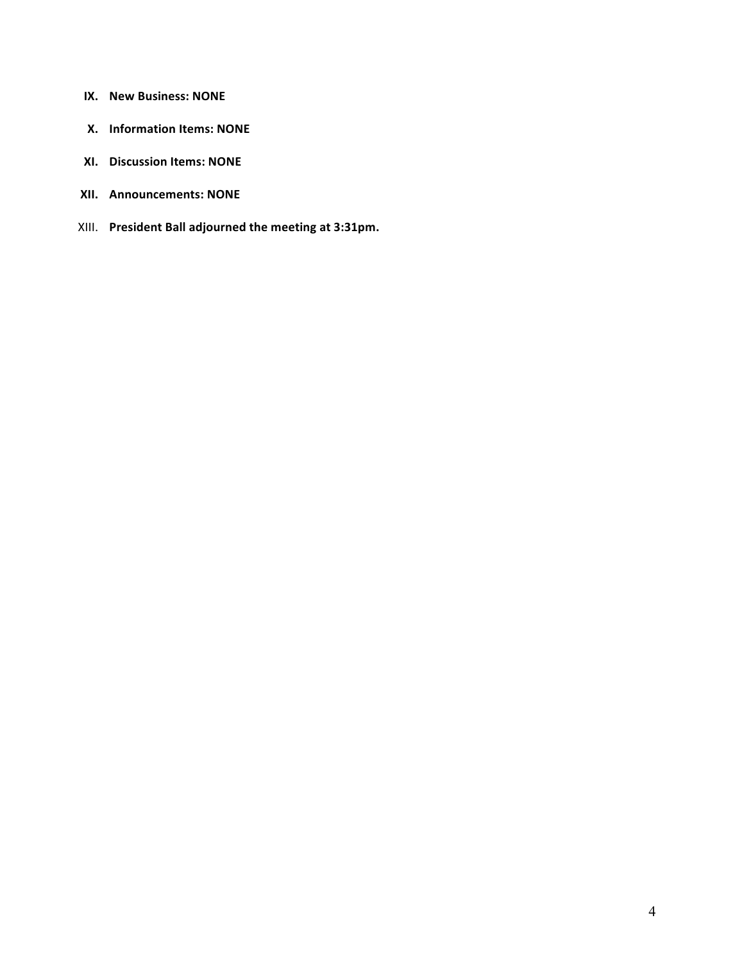- **IX.** New Business: NONE
- **X.** Information Items: NONE
- **XI.** Discussion Items: NONE
- **XII. Announcements: NONE**
- XIII. President Ball adjourned the meeting at 3:31pm.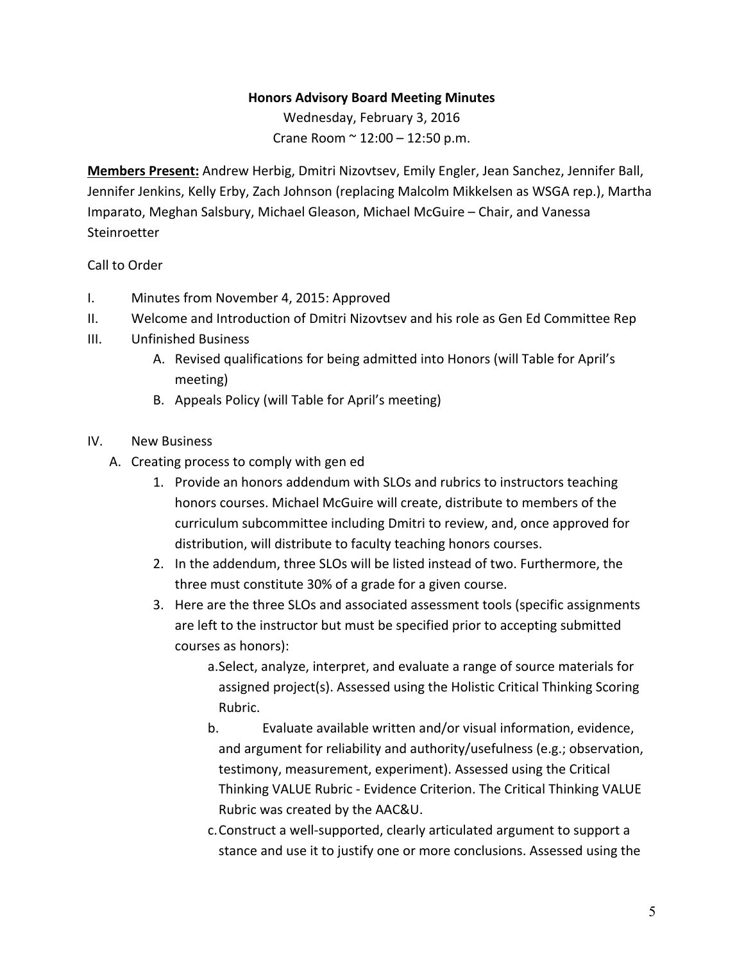# **Honors Advisory Board Meeting Minutes**

Wednesday, February 3, 2016 Crane Room  $\sim 12:00 - 12:50$  p.m.

Members Present: Andrew Herbig, Dmitri Nizovtsev, Emily Engler, Jean Sanchez, Jennifer Ball, Jennifer Jenkins, Kelly Erby, Zach Johnson (replacing Malcolm Mikkelsen as WSGA rep.), Martha Imparato, Meghan Salsbury, Michael Gleason, Michael McGuire – Chair, and Vanessa **Steinroetter** 

## Call to Order

- I. Minutes from November 4, 2015: Approved
- II. Welcome and Introduction of Dmitri Nizovtsev and his role as Gen Ed Committee Rep
- III. Unfinished Business
	- A. Revised qualifications for being admitted into Honors (will Table for April's meeting)
	- B. Appeals Policy (will Table for April's meeting)

## IV. New Business

- A. Creating process to comply with gen ed
	- 1. Provide an honors addendum with SLOs and rubrics to instructors teaching honors courses. Michael McGuire will create, distribute to members of the curriculum subcommittee including Dmitri to review, and, once approved for distribution, will distribute to faculty teaching honors courses.
	- 2. In the addendum, three SLOs will be listed instead of two. Furthermore, the three must constitute 30% of a grade for a given course.
	- 3. Here are the three SLOs and associated assessment tools (specific assignments are left to the instructor but must be specified prior to accepting submitted courses as honors):

a. Select, analyze, interpret, and evaluate a range of source materials for assigned project(s). Assessed using the Holistic Critical Thinking Scoring Rubric.

- b. Evaluate available written and/or visual information, evidence, and argument for reliability and authority/usefulness (e.g.; observation, testimony, measurement, experiment). Assessed using the Critical Thinking VALUE Rubric - Evidence Criterion. The Critical Thinking VALUE Rubric was created by the AAC&U.
- c. Construct a well-supported, clearly articulated argument to support a stance and use it to justify one or more conclusions. Assessed using the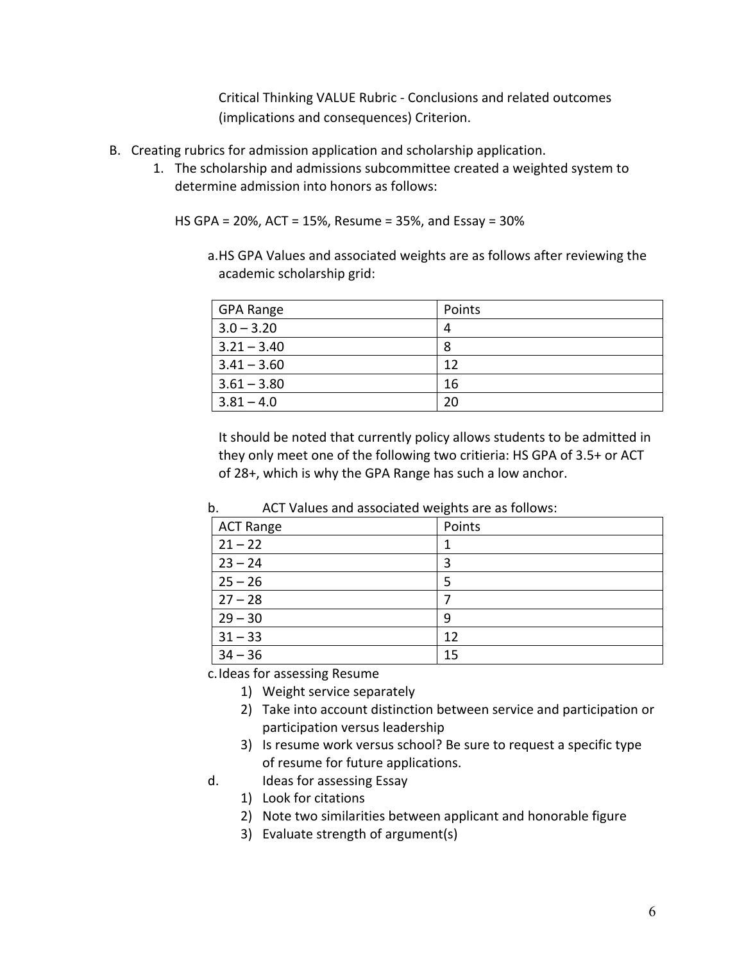Critical Thinking VALUE Rubric - Conclusions and related outcomes (implications and consequences) Criterion.

- B. Creating rubrics for admission application and scholarship application.
	- 1. The scholarship and admissions subcommittee created a weighted system to determine admission into honors as follows:

HS GPA =  $20\%$ , ACT = 15%, Resume = 35%, and Essay =  $30\%$ 

a.HS GPA Values and associated weights are as follows after reviewing the academic scholarship grid:

| <b>GPA Range</b> | Points |
|------------------|--------|
| $3.0 - 3.20$     |        |
| $3.21 - 3.40$    | 8      |
| $3.41 - 3.60$    | 12     |
| $3.61 - 3.80$    | 16     |
| $3.81 - 4.0$     | 20     |

It should be noted that currently policy allows students to be admitted in they only meet one of the following two critieria: HS GPA of 3.5+ or ACT of 28+, which is why the GPA Range has such a low anchor.

| b. |  | ACT Values and associated weights are as follows: |  |  |
|----|--|---------------------------------------------------|--|--|
|----|--|---------------------------------------------------|--|--|

| <b>ACT Range</b> | Points |
|------------------|--------|
| $21 - 22$        |        |
| $23 - 24$        | 3      |
| $25 - 26$        |        |
| $27 - 28$        |        |
| $29 - 30$        | q      |
| $31 - 33$        | 12     |
| $34 - 36$        | 15     |

c. Ideas for assessing Resume

- 1) Weight service separately
- 2) Take into account distinction between service and participation or participation versus leadership
- 3) Is resume work versus school? Be sure to request a specific type of resume for future applications.
- d. Ideas for assessing Essay
	- 1) Look for citations
	- 2) Note two similarities between applicant and honorable figure
	- 3) Evaluate strength of argument(s)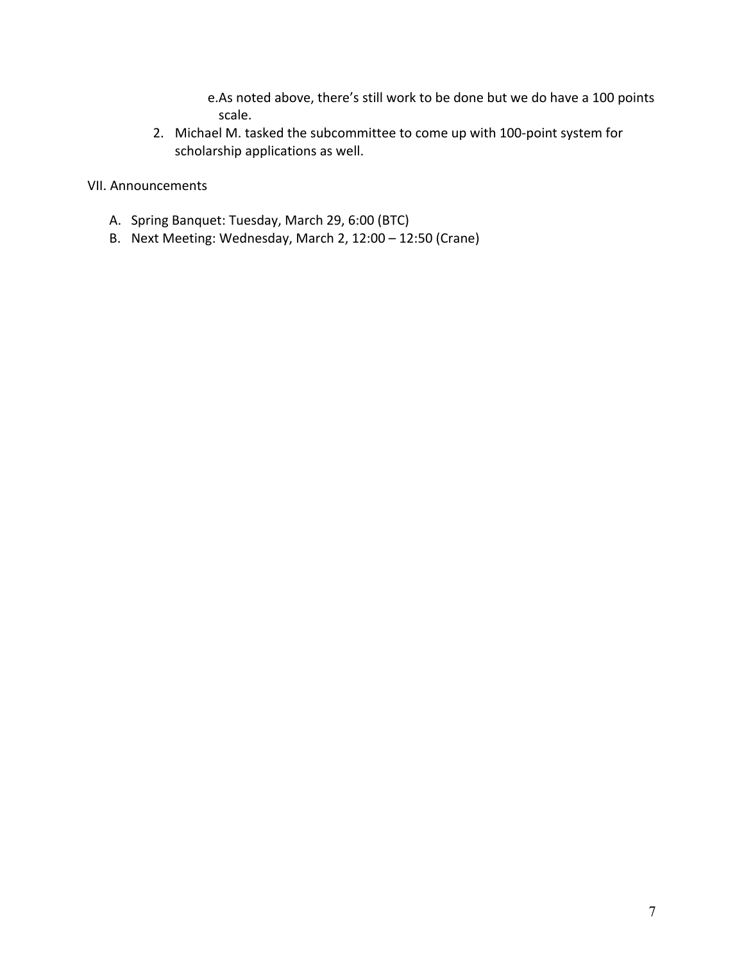e.As noted above, there's still work to be done but we do have a 100 points scale.

2. Michael M. tasked the subcommittee to come up with 100-point system for scholarship applications as well.

VII. Announcements

- A. Spring Banquet: Tuesday, March 29, 6:00 (BTC)
- B. Next Meeting: Wednesday, March 2, 12:00 12:50 (Crane)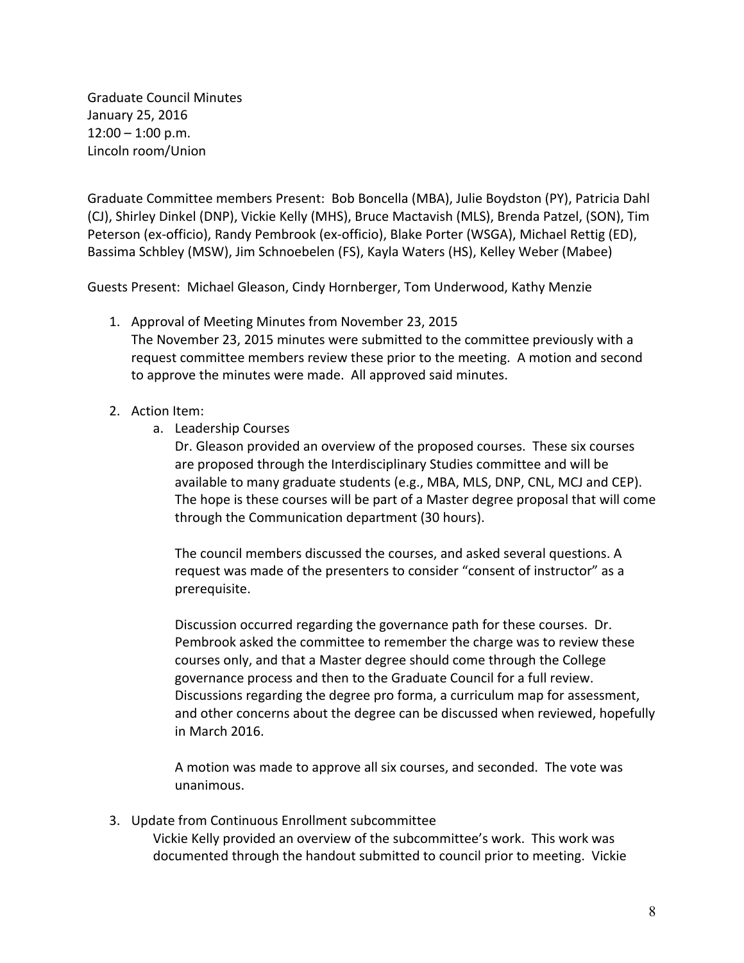Graduate Council Minutes January 25, 2016  $12:00 - 1:00$  p.m. Lincoln room/Union

Graduate Committee members Present: Bob Boncella (MBA), Julie Boydston (PY), Patricia Dahl (CJ), Shirley Dinkel (DNP), Vickie Kelly (MHS), Bruce Mactavish (MLS), Brenda Patzel, (SON), Tim Peterson (ex-officio), Randy Pembrook (ex-officio), Blake Porter (WSGA), Michael Rettig (ED), Bassima Schbley (MSW), Jim Schnoebelen (FS), Kayla Waters (HS), Kelley Weber (Mabee)

Guests Present: Michael Gleason, Cindy Hornberger, Tom Underwood, Kathy Menzie

- 1. Approval of Meeting Minutes from November 23, 2015 The November 23, 2015 minutes were submitted to the committee previously with a request committee members review these prior to the meeting. A motion and second to approve the minutes were made. All approved said minutes.
- 2. Action Item:
	- a. Leadership Courses

Dr. Gleason provided an overview of the proposed courses. These six courses are proposed through the Interdisciplinary Studies committee and will be available to many graduate students (e.g., MBA, MLS, DNP, CNL, MCJ and CEP). The hope is these courses will be part of a Master degree proposal that will come through the Communication department (30 hours).

The council members discussed the courses, and asked several questions. A request was made of the presenters to consider "consent of instructor" as a prerequisite. 

Discussion occurred regarding the governance path for these courses. Dr. Pembrook asked the committee to remember the charge was to review these courses only, and that a Master degree should come through the College governance process and then to the Graduate Council for a full review. Discussions regarding the degree pro forma, a curriculum map for assessment, and other concerns about the degree can be discussed when reviewed, hopefully in March 2016. 

A motion was made to approve all six courses, and seconded. The vote was unanimous. 

3. Update from Continuous Enrollment subcommittee Vickie Kelly provided an overview of the subcommittee's work. This work was documented through the handout submitted to council prior to meeting. Vickie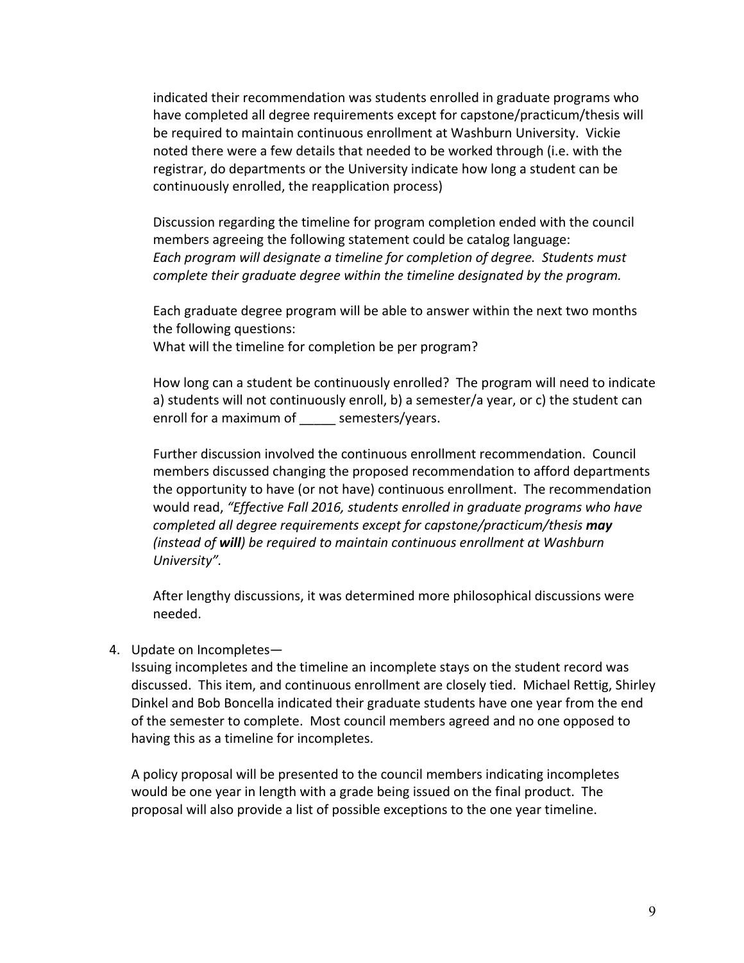indicated their recommendation was students enrolled in graduate programs who have completed all degree requirements except for capstone/practicum/thesis will be required to maintain continuous enrollment at Washburn University. Vickie noted there were a few details that needed to be worked through (i.e. with the registrar, do departments or the University indicate how long a student can be continuously enrolled, the reapplication process)

Discussion regarding the timeline for program completion ended with the council members agreeing the following statement could be catalog language: Each program will designate a timeline for completion of degree. Students must *complete their graduate degree within the timeline designated by the program.* 

Each graduate degree program will be able to answer within the next two months the following questions:

What will the timeline for completion be per program?

How long can a student be continuously enrolled? The program will need to indicate a) students will not continuously enroll, b) a semester/a year, or c) the student can enroll for a maximum of \_\_\_\_\_ semesters/years.

Further discussion involved the continuous enrollment recommendation. Council members discussed changing the proposed recommendation to afford departments the opportunity to have (or not have) continuous enrollment. The recommendation would read, "Effective Fall 2016, students enrolled in graduate programs who have *completed all degree requirements except for capstone/practicum/thesis* **may** *(instead of will)* be required to maintain continuous enrollment at Washburn *University".* 

After lengthy discussions, it was determined more philosophical discussions were needed. 

## 4. Update on Incompletes-

Issuing incompletes and the timeline an incomplete stays on the student record was discussed. This item, and continuous enrollment are closely tied. Michael Rettig, Shirley Dinkel and Bob Boncella indicated their graduate students have one year from the end of the semester to complete. Most council members agreed and no one opposed to having this as a timeline for incompletes.

A policy proposal will be presented to the council members indicating incompletes would be one year in length with a grade being issued on the final product. The proposal will also provide a list of possible exceptions to the one year timeline.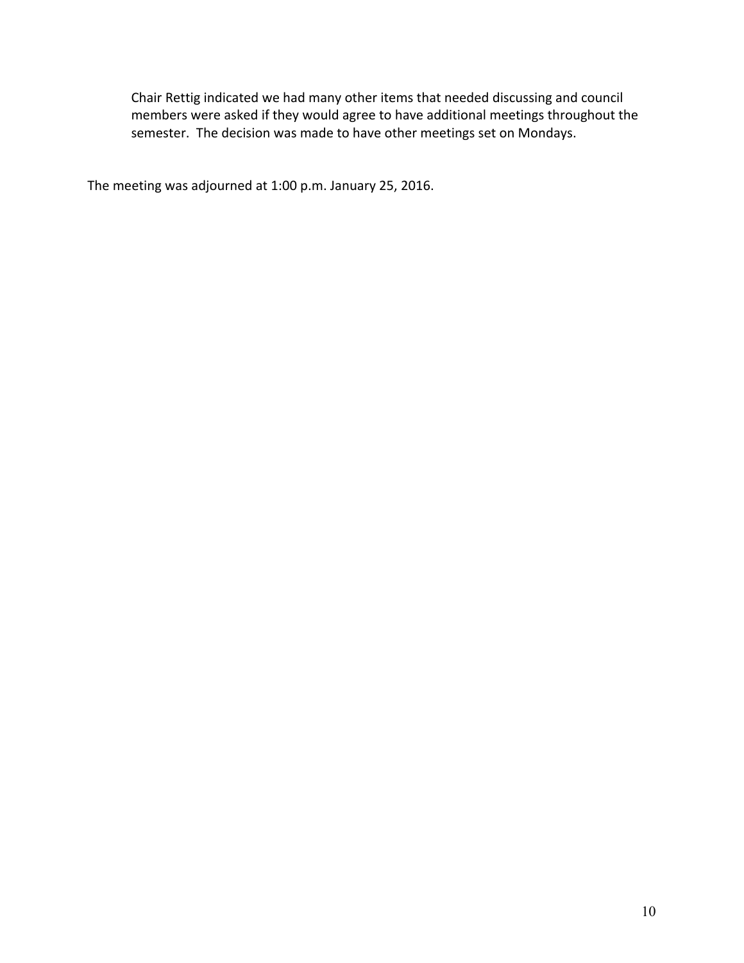Chair Rettig indicated we had many other items that needed discussing and council members were asked if they would agree to have additional meetings throughout the semester. The decision was made to have other meetings set on Mondays.

The meeting was adjourned at 1:00 p.m. January 25, 2016.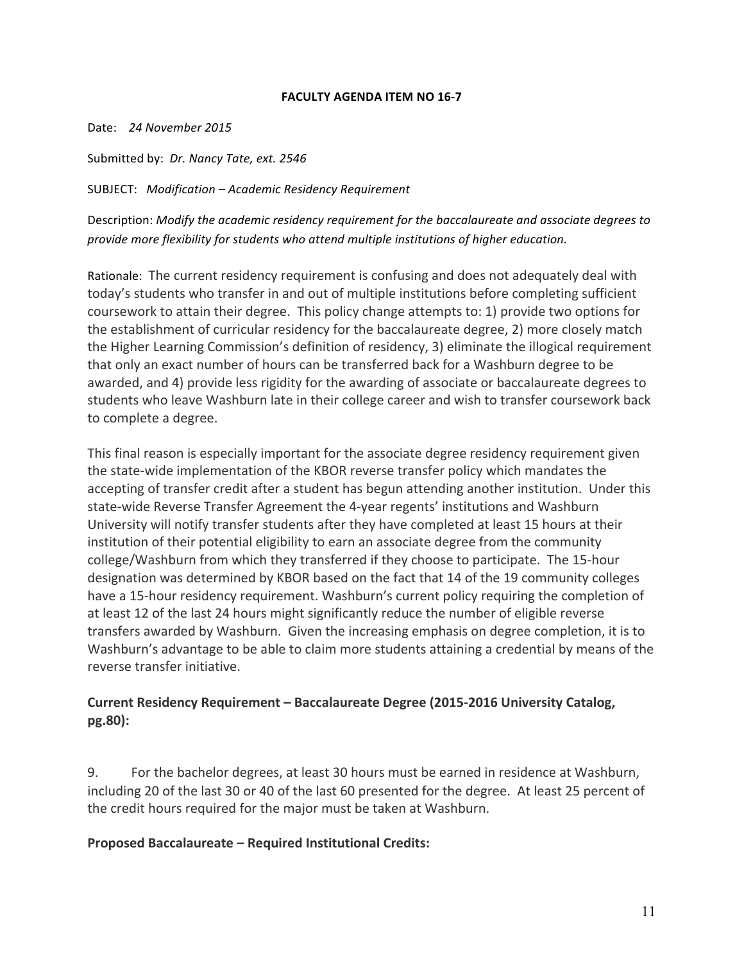### **FACULTY AGENDA ITEM NO 16-7**

Date: 24 November 2015

Submitted by: *Dr. Nancy Tate, ext.* 2546

SUBJECT: *Modification – Academic Residency Requirement*

Description: Modify the academic residency requirement for the baccalaureate and associate degrees to provide more flexibility for students who attend multiple institutions of higher education.

Rationale: The current residency requirement is confusing and does not adequately deal with today's students who transfer in and out of multiple institutions before completing sufficient coursework to attain their degree. This policy change attempts to: 1) provide two options for the establishment of curricular residency for the baccalaureate degree, 2) more closely match the Higher Learning Commission's definition of residency, 3) eliminate the illogical requirement that only an exact number of hours can be transferred back for a Washburn degree to be awarded, and 4) provide less rigidity for the awarding of associate or baccalaureate degrees to students who leave Washburn late in their college career and wish to transfer coursework back to complete a degree.

This final reason is especially important for the associate degree residency requirement given the state-wide implementation of the KBOR reverse transfer policy which mandates the accepting of transfer credit after a student has begun attending another institution. Under this state-wide Reverse Transfer Agreement the 4-year regents' institutions and Washburn University will notify transfer students after they have completed at least 15 hours at their institution of their potential eligibility to earn an associate degree from the community college/Washburn from which they transferred if they choose to participate. The 15-hour designation was determined by KBOR based on the fact that 14 of the 19 community colleges have a 15-hour residency requirement. Washburn's current policy requiring the completion of at least 12 of the last 24 hours might significantly reduce the number of eligible reverse transfers awarded by Washburn. Given the increasing emphasis on degree completion, it is to Washburn's advantage to be able to claim more students attaining a credential by means of the reverse transfer initiative.

# Current Residency Requirement - Baccalaureate Degree (2015-2016 University Catalog, **pg.80):**

9. For the bachelor degrees, at least 30 hours must be earned in residence at Washburn, including 20 of the last 30 or 40 of the last 60 presented for the degree. At least 25 percent of the credit hours required for the major must be taken at Washburn.

## **Proposed Baccalaureate – Required Institutional Credits:**